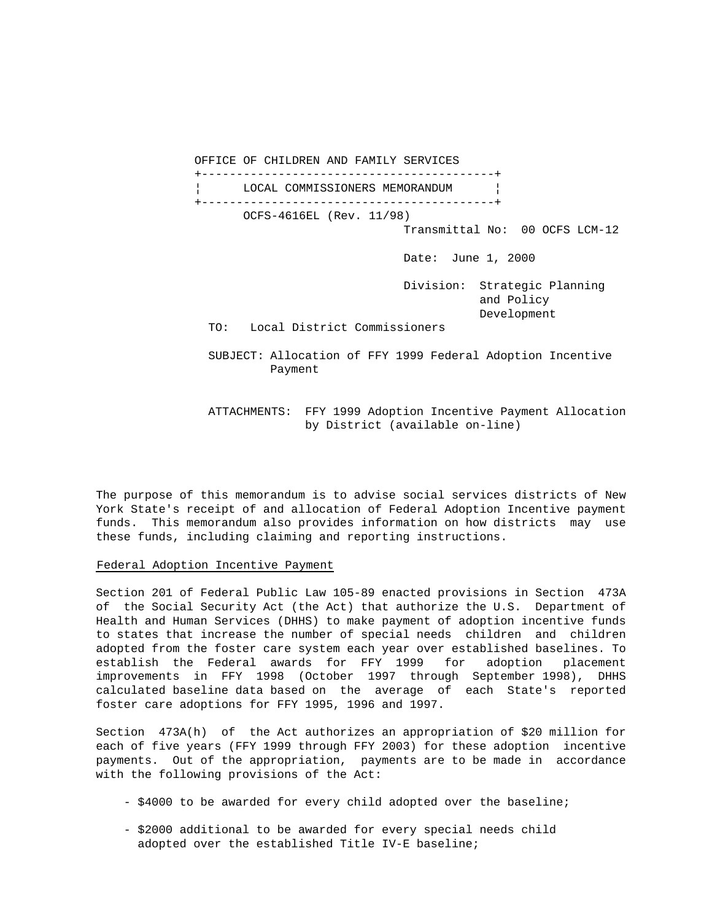OFFICE OF CHILDREN AND FAMILY SERVICES +------------------------------------------+ LOCAL COMMISSIONERS MEMORANDUM | +------------------------------------------+ OCFS-4616EL (Rev. 11/98) Transmittal No: 00 OCFS LCM-12 Date: June 1, 2000 Division: Strategic Planning and Policy Development TO: Local District Commissioners SUBJECT: Allocation of FFY 1999 Federal Adoption Incentive Payment

 ATTACHMENTS: FFY 1999 Adoption Incentive Payment Allocation by District (available on-line)

The purpose of this memorandum is to advise social services districts of New York State's receipt of and allocation of Federal Adoption Incentive payment funds. This memorandum also provides information on how districts may use these funds, including claiming and reporting instructions.

#### Federal Adoption Incentive Payment

Section 201 of Federal Public Law 105-89 enacted provisions in Section 473A of the Social Security Act (the Act) that authorize the U.S. Department of Health and Human Services (DHHS) to make payment of adoption incentive funds to states that increase the number of special needs children and children adopted from the foster care system each year over established baselines. To establish the Federal awards for FFY 1999 for adoption placement improvements in FFY 1998 (October 1997 through September 1998), DHHS calculated baseline data based on the average of each State's reported foster care adoptions for FFY 1995, 1996 and 1997.

Section 473A(h) of the Act authorizes an appropriation of \$20 million for each of five years (FFY 1999 through FFY 2003) for these adoption incentive payments. Out of the appropriation, payments are to be made in accordance with the following provisions of the Act:

- \$4000 to be awarded for every child adopted over the baseline;
- \$2000 additional to be awarded for every special needs child adopted over the established Title IV-E baseline;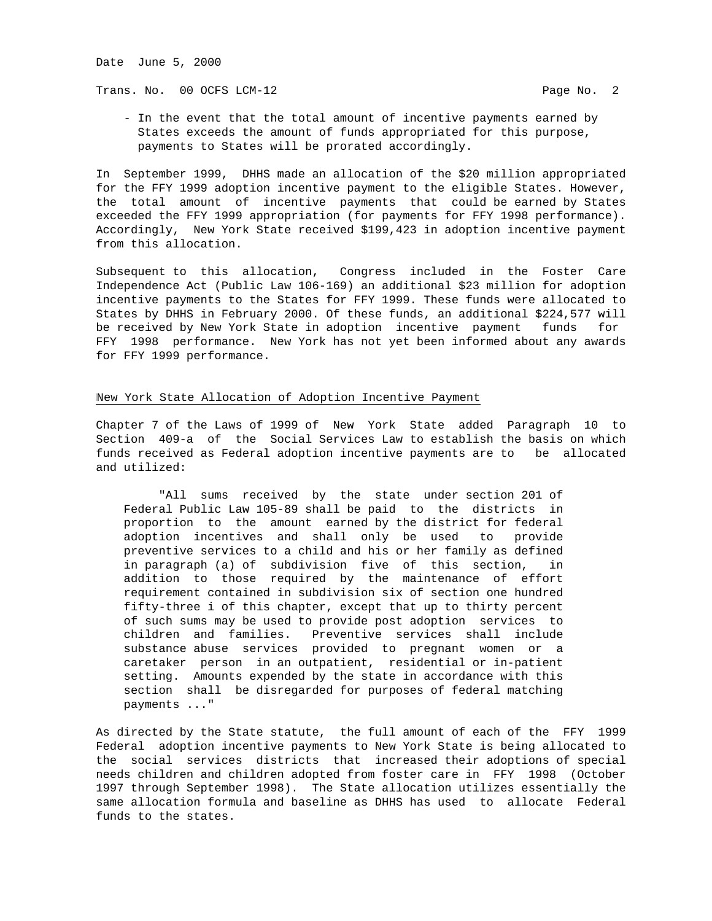Date June 5, 2000

Trans. No. 00 OCFS LCM-12 **Page No. 2** 

 - In the event that the total amount of incentive payments earned by States exceeds the amount of funds appropriated for this purpose, payments to States will be prorated accordingly.

In September 1999, DHHS made an allocation of the \$20 million appropriated for the FFY 1999 adoption incentive payment to the eligible States. However, the total amount of incentive payments that could be earned by States exceeded the FFY 1999 appropriation (for payments for FFY 1998 performance). Accordingly, New York State received \$199,423 in adoption incentive payment from this allocation.

Subsequent to this allocation, Congress included in the Foster Care Independence Act (Public Law 106-169) an additional \$23 million for adoption incentive payments to the States for FFY 1999. These funds were allocated to States by DHHS in February 2000. Of these funds, an additional \$224,577 will be received by New York State in adoption incentive payment funds for FFY 1998 performance. New York has not yet been informed about any awards for FFY 1999 performance.

## New York State Allocation of Adoption Incentive Payment

Chapter 7 of the Laws of 1999 of New York State added Paragraph 10 to Section 409-a of the Social Services Law to establish the basis on which funds received as Federal adoption incentive payments are to be allocated and utilized:

 "All sums received by the state under section 201 of Federal Public Law 105-89 shall be paid to the districts in proportion to the amount earned by the district for federal adoption incentives and shall only be used to provide preventive services to a child and his or her family as defined in paragraph (a) of subdivision five of this section, in addition to those required by the maintenance of effort requirement contained in subdivision six of section one hundred fifty-three i of this chapter, except that up to thirty percent of such sums may be used to provide post adoption services to children and families. Preventive services shall include substance abuse services provided to pregnant women or a caretaker person in an outpatient, residential or in-patient setting. Amounts expended by the state in accordance with this section shall be disregarded for purposes of federal matching payments ..."

As directed by the State statute, the full amount of each of the FFY 1999 Federal adoption incentive payments to New York State is being allocated to the social services districts that increased their adoptions of special needs children and children adopted from foster care in FFY 1998 (October 1997 through September 1998). The State allocation utilizes essentially the same allocation formula and baseline as DHHS has used to allocate Federal funds to the states.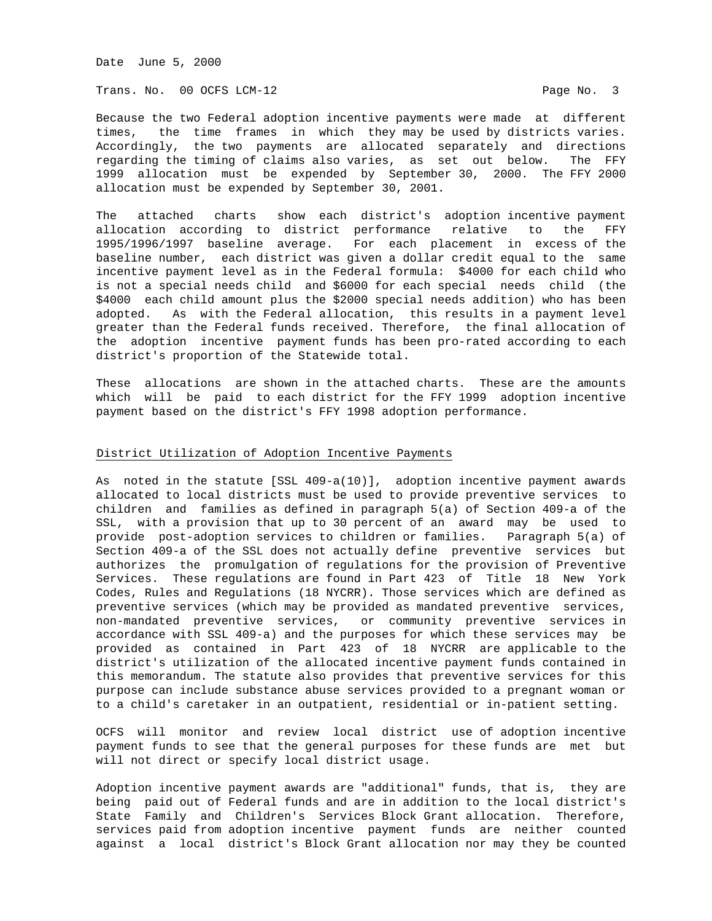Date June 5, 2000

Trans. No. 00 OCFS LCM-12 **Page No. 3** 

Because the two Federal adoption incentive payments were made at different times, the time frames in which they may be used by districts varies. Accordingly, the two payments are allocated separately and directions regarding the timing of claims also varies, as set out below. The FFY 1999 allocation must be expended by September 30, 2000. The FFY 2000 allocation must be expended by September 30, 2001.

The attached charts show each district's adoption incentive payment allocation according to district performance relative to the FFY 1995/1996/1997 baseline average. For each placement in excess of the baseline number, each district was given a dollar credit equal to the same incentive payment level as in the Federal formula: \$4000 for each child who is not a special needs child and \$6000 for each special needs child (the \$4000 each child amount plus the \$2000 special needs addition) who has been adopted. As with the Federal allocation, this results in a payment level greater than the Federal funds received. Therefore, the final allocation of the adoption incentive payment funds has been pro-rated according to each district's proportion of the Statewide total.

These allocations are shown in the attached charts. These are the amounts which will be paid to each district for the FFY 1999 adoption incentive payment based on the district's FFY 1998 adoption performance.

## District Utilization of Adoption Incentive Payments

As noted in the statute [SSL 409-a(10)], adoption incentive payment awards allocated to local districts must be used to provide preventive services to children and families as defined in paragraph 5(a) of Section 409-a of the SSL, with a provision that up to 30 percent of an award may be used to provide post-adoption services to children or families. Paragraph 5(a) of Section 409-a of the SSL does not actually define preventive services but authorizes the promulgation of regulations for the provision of Preventive Services. These regulations are found in Part 423 of Title 18 New York Codes, Rules and Regulations (18 NYCRR). Those services which are defined as preventive services (which may be provided as mandated preventive services, non-mandated preventive services, or community preventive services in accordance with SSL 409-a) and the purposes for which these services may be provided as contained in Part 423 of 18 NYCRR are applicable to the district's utilization of the allocated incentive payment funds contained in this memorandum. The statute also provides that preventive services for this purpose can include substance abuse services provided to a pregnant woman or to a child's caretaker in an outpatient, residential or in-patient setting.

OCFS will monitor and review local district use of adoption incentive payment funds to see that the general purposes for these funds are met but will not direct or specify local district usage.

Adoption incentive payment awards are "additional" funds, that is, they are being paid out of Federal funds and are in addition to the local district's State Family and Children's Services Block Grant allocation. Therefore, services paid from adoption incentive payment funds are neither counted against a local district's Block Grant allocation nor may they be counted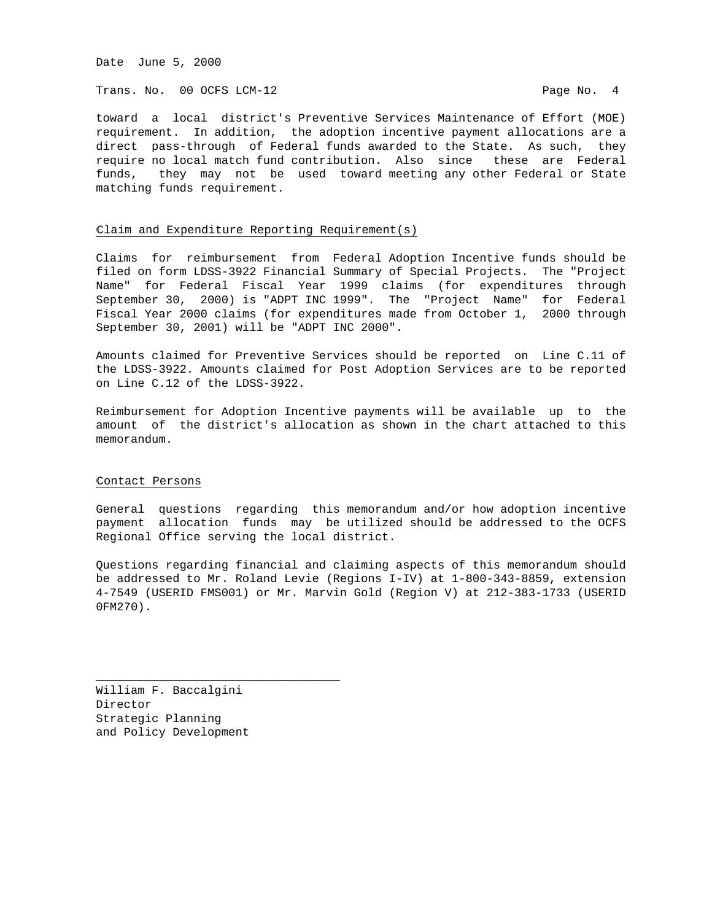Date June 5, 2000

Trans. No. 00 OCFS LCM-12 **Page No. 4** 

toward a local district's Preventive Services Maintenance of Effort (MOE) requirement. In addition, the adoption incentive payment allocations are a direct pass-through of Federal funds awarded to the State. As such, they require no local match fund contribution. Also since these are Federal funds, they may not be used toward meeting any other Federal or State matching funds requirement.

### Claim and Expenditure Reporting Requirement(s)

Claims for reimbursement from Federal Adoption Incentive funds should be filed on form LDSS-3922 Financial Summary of Special Projects. The "Project Name" for Federal Fiscal Year 1999 claims (for expenditures through September 30, 2000) is "ADPT INC 1999". The "Project Name" for Federal Fiscal Year 2000 claims (for expenditures made from October 1, 2000 through September 30, 2001) will be "ADPT INC 2000".

Amounts claimed for Preventive Services should be reported on Line C.11 of the LDSS-3922. Amounts claimed for Post Adoption Services are to be reported on Line C.12 of the LDSS-3922.

Reimbursement for Adoption Incentive payments will be available up to the amount of the district's allocation as shown in the chart attached to this memorandum.

#### Contact Persons

General questions regarding this memorandum and/or how adoption incentive payment allocation funds may be utilized should be addressed to the OCFS Regional Office serving the local district.

Questions regarding financial and claiming aspects of this memorandum should be addressed to Mr. Roland Levie (Regions I-IV) at 1-800-343-8859, extension 4-7549 (USERID FMS001) or Mr. Marvin Gold (Region V) at 212-383-1733 (USERID 0FM270).

William F. Baccalgini Director Strategic Planning and Policy Development

\_\_\_\_\_\_\_\_\_\_\_\_\_\_\_\_\_\_\_\_\_\_\_\_\_\_\_\_\_\_\_\_\_\_\_